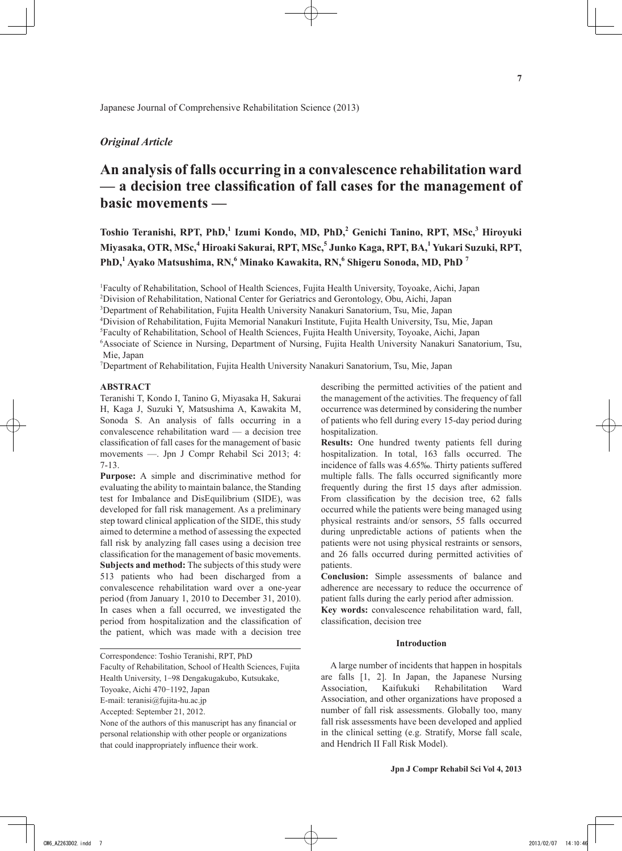## *Original Article*

# **An analysis of falls occurring in a convalescence rehabilitation ward — a decision tree classification of fall cases for the management of basic movements —**

**Toshio Teranishi, RPT, PhD,<sup>1</sup> Izumi Kondo, MD, PhD,<sup>2</sup> Genichi Tanino, RPT, MSc,<sup>3</sup> Hiroyuki Miyasaka, OTR, MSc,4 Hiroaki Sakurai, RPT, MSc,<sup>5</sup> Junko Kaga, RPT, BA,<sup>1</sup> Yukari Suzuki, RPT, PhD,<sup>1</sup> Ayako Matsushima, RN,<sup>6</sup> Minako Kawakita, RN,<sup>6</sup> Shigeru Sonoda, MD, PhD <sup>7</sup>**

1 Faculty of Rehabilitation, School of Health Sciences, Fujita Health University, Toyoake, Aichi, Japan

2 Division of Rehabilitation, National Center for Geriatrics and Gerontology, Obu, Aichi, Japan

3 Department of Rehabilitation, Fujita Health University Nanakuri Sanatorium, Tsu, Mie, Japan

4 Division of Rehabilitation, Fujita Memorial Nanakuri Institute, Fujita Health University, Tsu, Mie, Japan

5 Faculty of Rehabilitation, School of Health Sciences, Fujita Health University, Toyoake, Aichi, Japan

6 Associate of Science in Nursing, Department of Nursing, Fujita Health University Nanakuri Sanatorium, Tsu, Mie, Japan

7 Department of Rehabilitation, Fujita Health University Nanakuri Sanatorium, Tsu, Mie, Japan

## **ABSTRACT**

Teranishi T, Kondo I, Tanino G, Miyasaka H, Sakurai H, Kaga J, Suzuki Y, Matsushima A, Kawakita M, Sonoda S. An analysis of falls occurring in a convalescence rehabilitation ward — a decision tree classification of fall cases for the management of basic movements —. Jpn J Compr Rehabil Sci 2013; 4: 7-13.

**Purpose:** A simple and discriminative method for evaluating the ability to maintain balance, the Standing test for Imbalance and DisEquilibrium (SIDE), was developed for fall risk management. As a preliminary step toward clinical application of the SIDE, this study aimed to determine a method of assessing the expected fall risk by analyzing fall cases using a decision tree classification for the management of basic movements. **Subjects and method:** The subjects of this study were 513 patients who had been discharged from a convalescence rehabilitation ward over a one-year period (from January 1, 2010 to December 31, 2010). In cases when a fall occurred, we investigated the period from hospitalization and the classification of the patient, which was made with a decision tree

Faculty of Rehabilitation, School of Health Sciences, Fujita Health University, 1-98 Dengakugakubo, Kutsukake,

Toyoake, Aichi 470-1192, Japan

E-mail: teranisi@fujita-hu.ac.jp

None of the authors of this manuscript has any financial or personal relationship with other people or organizations that could inappropriately influence their work.

describing the permitted activities of the patient and the management of the activities. The frequency of fall occurrence was determined by considering the number of patients who fell during every 15-day period during hospitalization.

**Results:** One hundred twenty patients fell during hospitalization. In total, 163 falls occurred. The incidence of falls was 4.65‰. Thirty patients suffered multiple falls. The falls occurred significantly more frequently during the first 15 days after admission. From classification by the decision tree, 62 falls occurred while the patients were being managed using physical restraints and/or sensors, 55 falls occurred during unpredictable actions of patients when the patients were not using physical restraints or sensors, and 26 falls occurred during permitted activities of patients.

**Conclusion:** Simple assessments of balance and adherence are necessary to reduce the occurrence of patient falls during the early period after admission.

**Key words:** convalescence rehabilitation ward, fall, classification, decision tree

### **Introduction**

A large number of incidents that happen in hospitals are falls [1, 2]. In Japan, the Japanese Nursing Association, Kaifukuki Rehabilitation Ward Association, and other organizations have proposed a number of fall risk assessments. Globally too, many fall risk assessments have been developed and applied in the clinical setting (e.g. Stratify, Morse fall scale, and Hendrich II Fall Risk Model).

Correspondence: Toshio Teranishi, RPT, PhD

Accepted: September 21, 2012.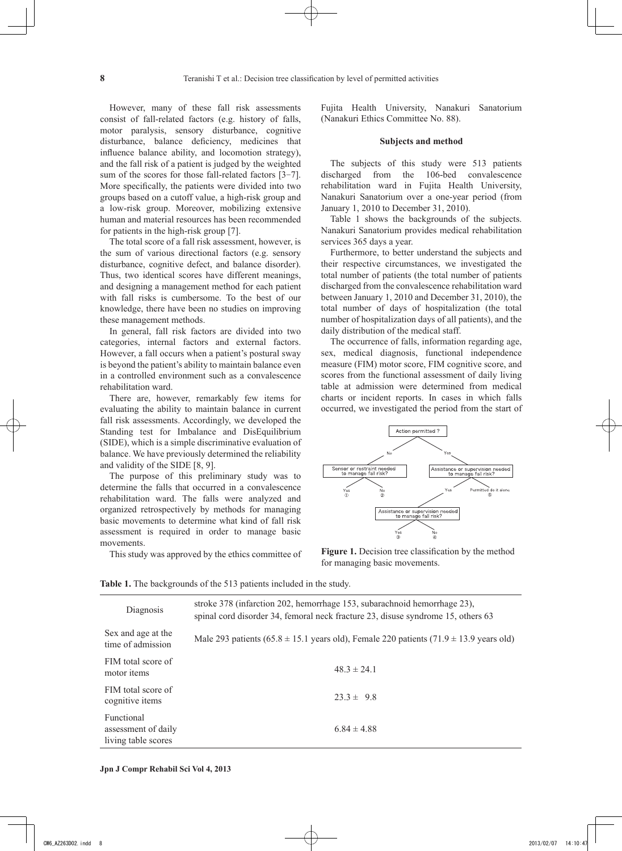However, many of these fall risk assessments consist of fall-related factors (e.g. history of falls, motor paralysis, sensory disturbance, cognitive disturbance, balance deficiency, medicines that influence balance ability, and locomotion strategy), and the fall risk of a patient is judged by the weighted sum of the scores for those fall-related factors [3-7]. More specifically, the patients were divided into two groups based on a cutoff value, a high-risk group and a low-risk group. Moreover, mobilizing extensive human and material resources has been recommended for patients in the high-risk group [7].

The total score of a fall risk assessment, however, is the sum of various directional factors (e.g. sensory disturbance, cognitive defect, and balance disorder). Thus, two identical scores have different meanings, and designing a management method for each patient with fall risks is cumbersome. To the best of our knowledge, there have been no studies on improving these management methods.

In general, fall risk factors are divided into two categories, internal factors and external factors. However, a fall occurs when a patient's postural sway is beyond the patient's ability to maintain balance even in a controlled environment such as a convalescence rehabilitation ward.

There are, however, remarkably few items for evaluating the ability to maintain balance in current fall risk assessments. Accordingly, we developed the Standing test for Imbalance and DisEquilibrium (SIDE), which is a simple discriminative evaluation of balance. We have previously determined the reliability and validity of the SIDE [8, 9].

The purpose of this preliminary study was to determine the falls that occurred in a convalescence rehabilitation ward. The falls were analyzed and organized retrospectively by methods for managing basic movements to determine what kind of fall risk assessment is required in order to manage basic movements.

This study was approved by the ethics committee of

Fujita Health University, Nanakuri Sanatorium (Nanakuri Ethics Committee No. 88).

## **Subjects and method**

The subjects of this study were 513 patients discharged from the 106-bed convalescence rehabilitation ward in Fujita Health University, Nanakuri Sanatorium over a one-year period (from January 1, 2010 to December 31, 2010).

Table 1 shows the backgrounds of the subjects. Nanakuri Sanatorium provides medical rehabilitation services 365 days a year.

Furthermore, to better understand the subjects and their respective circumstances, we investigated the total number of patients (the total number of patients discharged from the convalescence rehabilitation ward between January 1, 2010 and December 31, 2010), the total number of days of hospitalization (the total number of hospitalization days of all patients), and the daily distribution of the medical staff.

The occurrence of falls, information regarding age, sex, medical diagnosis, functional independence measure (FIM) motor score, FIM cognitive score, and scores from the functional assessment of daily living table at admission were determined from medical charts or incident reports. In cases in which falls occurred, we investigated the period from the start of



Figure 1. Decision tree classification by the method for managing basic movements.

Table 1. The backgrounds of the 513 patients included in the study.

| Diagnosis                                                | stroke 378 (infarction 202, hemorrhage 153, subarachnoid hemorrhage 23),<br>spinal cord disorder 34, femoral neck fracture 23, disuse syndrome 15, others 63 |
|----------------------------------------------------------|--------------------------------------------------------------------------------------------------------------------------------------------------------------|
| Sex and age at the<br>time of admission                  | Male 293 patients (65.8 $\pm$ 15.1 years old), Female 220 patients (71.9 $\pm$ 13.9 years old)                                                               |
| FIM total score of<br>motor <i>items</i>                 | $48.3 \pm 24.1$                                                                                                                                              |
| FIM total score of<br>cognitive items                    | $233 \pm 98$                                                                                                                                                 |
| Functional<br>assessment of daily<br>living table scores | $6.84 \pm 4.88$                                                                                                                                              |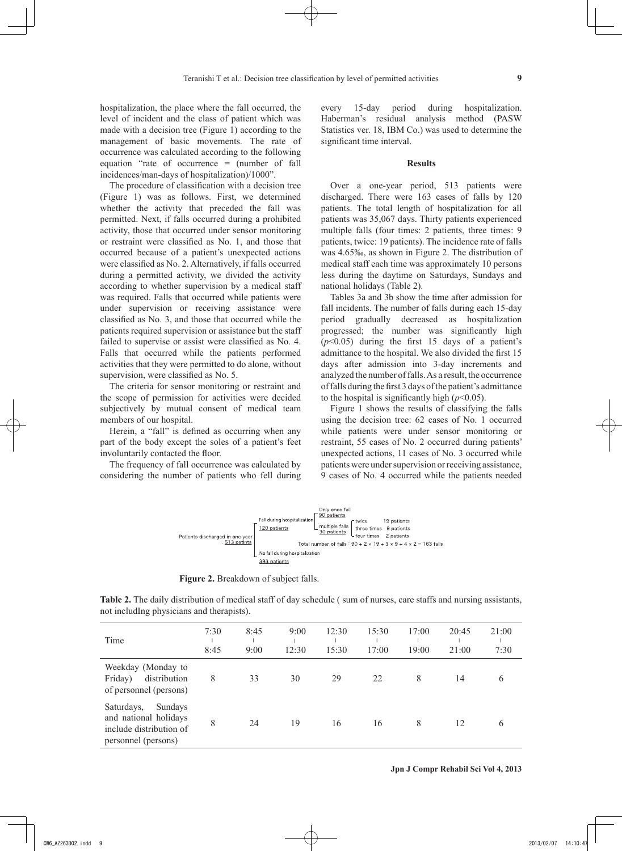hospitalization, the place where the fall occurred, the level of incident and the class of patient which was made with a decision tree (Figure 1) according to the management of basic movements. The rate of occurrence was calculated according to the following equation "rate of occurrence = (number of fall incidences/man-days of hospitalization)/1000".

The procedure of classification with a decision tree (Figure 1) was as follows. First, we determined whether the activity that preceded the fall was permitted. Next, if falls occurred during a prohibited activity, those that occurred under sensor monitoring or restraint were classified as No. 1, and those that occurred because of a patient's unexpected actions were classified as No. 2. Alternatively, if falls occurred during a permitted activity, we divided the activity according to whether supervision by a medical staff was required. Falls that occurred while patients were under supervision or receiving assistance were classified as No. 3, and those that occurred while the patients required supervision or assistance but the staff failed to supervise or assist were classified as No. 4. Falls that occurred while the patients performed activities that they were permitted to do alone, without supervision, were classified as No. 5.

The criteria for sensor monitoring or restraint and the scope of permission for activities were decided subjectively by mutual consent of medical team members of our hospital.

Herein, a "fall" is defined as occurring when any part of the body except the soles of a patient's feet involuntarily contacted the floor.

The frequency of fall occurrence was calculated by considering the number of patients who fell during every 15-day period during hospitalization. Haberman's residual analysis method (PASW Statistics ver. 18, IBM Co.) was used to determine the significant time interval.

## **Results**

Over a one-year period, 513 patients were discharged. There were 163 cases of falls by 120 patients. The total length of hospitalization for all patients was 35,067 days. Thirty patients experienced multiple falls (four times: 2 patients, three times: 9 patients, twice: 19 patients). The incidence rate of falls was 4.65‰, as shown in Figure 2. The distribution of medical staff each time was approximately 10 persons less during the daytime on Saturdays, Sundays and national holidays (Table 2).

Tables 3a and 3b show the time after admission for fall incidents. The number of falls during each 15-day period gradually decreased as hospitalization progressed; the number was significantly high  $(p<0.05)$  during the first 15 days of a patient's admittance to the hospital. We also divided the first 15 days after admission into 3-day increments and analyzed the number of falls. As a result, the occurrence of falls during the first 3 days of the patient's admittance to the hospital is significantly high  $(p<0.05)$ .

Figure 1 shows the results of classifying the falls using the decision tree: 62 cases of No. 1 occurred while patients were under sensor monitoring or restraint, 55 cases of No. 2 occurred during patients' unexpected actions, 11 cases of No. 3 occurred while patients were under supervision or receiving assistance, 9 cases of No. 4 occurred while the patients needed



Figure 2. Breakdown of subject falls.

**Table 2.** The daily distribution of medical staff of day schedule ( sum of nurses, care staffs and nursing assistants, not includIng physicians and therapists).

| Time                                                                                             | 7:30<br>8:45 | 8:45<br>9:00 | 9:00<br>12:30 | 12:30<br>15:30 | 15:30<br>17:00 | 17:00<br>19:00 | 20:45<br>21:00 | 21:00<br>7:30 |
|--------------------------------------------------------------------------------------------------|--------------|--------------|---------------|----------------|----------------|----------------|----------------|---------------|
| Weekday (Monday to<br>distribution<br>Friday)<br>of personnel (persons)                          | 8            | 33           | 30            | 29             | 22             | 8              | 14             | 6             |
| Saturdays,<br>Sundays<br>and national holidays<br>include distribution of<br>personnel (persons) | 8            | 24           | 19            | 16             | 16             | 8              | 12             | 6             |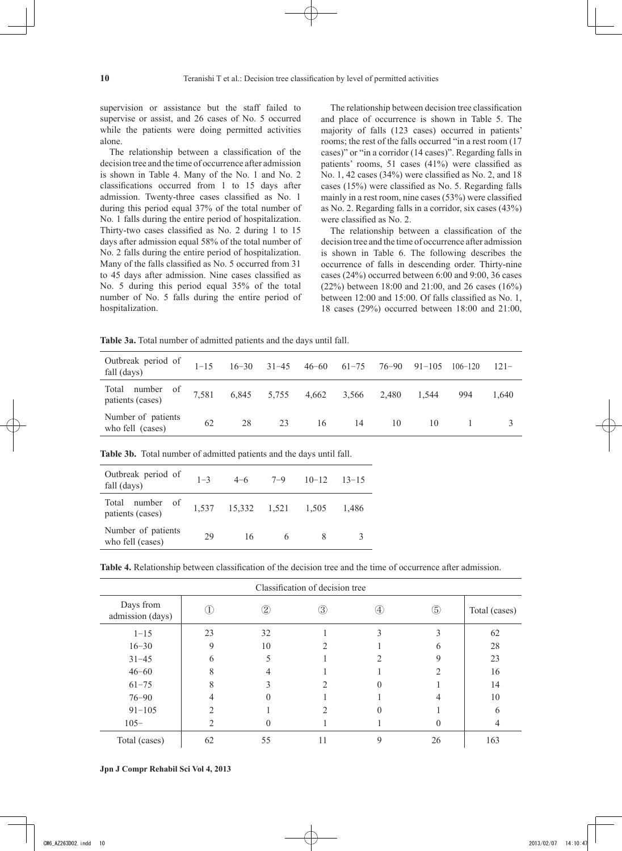supervision or assistance but the staff failed to supervise or assist, and 26 cases of No. 5 occurred while the patients were doing permitted activities alone.

The relationship between a classification of the decision tree and the time of occurrence after admission is shown in Table 4. Many of the No. 1 and No. 2 classifications occurred from 1 to 15 days after admission. Twenty-three cases classified as No. 1 during this period equal 37% of the total number of No. 1 falls during the entire period of hospitalization. Thirty-two cases classified as No. 2 during 1 to 15 days after admission equal 58% of the total number of No. 2 falls during the entire period of hospitalization. Many of the falls classified as No. 5 occurred from 31 to 45 days after admission. Nine cases classified as No. 5 during this period equal 35% of the total number of No. 5 falls during the entire period of hospitalization.

The relationship between decision tree classification and place of occurrence is shown in Table 5. The majority of falls (123 cases) occurred in patients' rooms; the rest of the falls occurred "in a rest room (17 cases)" or "in a corridor (14 cases)". Regarding falls in patients' rooms, 51 cases (41%) were classified as No. 1, 42 cases (34%) were classified as No. 2, and 18 cases (15%) were classified as No. 5. Regarding falls mainly in a rest room, nine cases (53%) were classified as No. 2. Regarding falls in a corridor, six cases (43%) were classified as No. 2.

The relationship between a classification of the decision tree and the time of occurrence after admission is shown in Table 6. The following describes the occurrence of falls in descending order. Thirty-nine cases (24%) occurred between 6:00 and 9:00, 36 cases (22%) between 18:00 and 21:00, and 26 cases (16%) between 12:00 and 15:00. Of falls classified as No. 1, 18 cases (29%) occurred between 18:00 and 21:00,

**Table 3a.** Total number of admitted patients and the days until fall.

| Outbreak period of<br>fall (days)      | $1 - 15$ |       | $16 - 30$ $31 - 45$ | $46 - 60$   | $61 - 75$ | 76–90 | $91 - 105$ | $106 - 120$ | $121-$ |
|----------------------------------------|----------|-------|---------------------|-------------|-----------|-------|------------|-------------|--------|
| Total number of<br>patients (cases)    | 7,581    | 6,845 | 5,755               | 4,662 3,566 |           | 2,480 | 1.544      | 994         | 1.640  |
| Number of patients<br>who fell (cases) | 62       | 28    | 23                  | 16          | 14        | 10    | 10         |             |        |

| Outbreak period of<br>fall (days)      | $1 - 3$ | $4 - 6$      | $7 - 9$ | $10 - 12$ | $13 - 15$ |
|----------------------------------------|---------|--------------|---------|-----------|-----------|
| number of<br>Total<br>patients (cases) | 1,537   | 15,332 1,521 |         | 1,505     | 1.486     |
| Number of patients<br>who fell (cases) | 29      | 16           |         |           |           |

**Table 3b.** Total number of admitted patients and the days until fall.

**Table 4.** Relationship between classification of the decision tree and the time of occurrence after admission.

| Classification of decision tree |    |               |    |                   |                |               |  |  |  |  |
|---------------------------------|----|---------------|----|-------------------|----------------|---------------|--|--|--|--|
| Days from<br>admission (days)   |    | $\circled{2}$ | 3  | $\left( 4\right)$ | $\circledS$    | Total (cases) |  |  |  |  |
| $1 - 15$                        | 23 | 32            |    |                   |                | 62            |  |  |  |  |
| $16 - 30$                       | 9  | 10            |    |                   | n              | 28            |  |  |  |  |
| $31 - 45$                       |    |               |    |                   | 9              | 23            |  |  |  |  |
| $46 - 60$                       |    |               |    |                   | $\mathfrak{D}$ | 16            |  |  |  |  |
| $61 - 75$                       |    |               |    |                   |                | 14            |  |  |  |  |
| $76 - 90$                       |    |               |    |                   |                | 10            |  |  |  |  |
| $91 - 105$                      |    |               |    |                   |                | 6             |  |  |  |  |
| $105 -$                         |    |               |    |                   |                | 4             |  |  |  |  |
| Total (cases)                   | 62 | 55            | 11 | 9                 | 26             | 163           |  |  |  |  |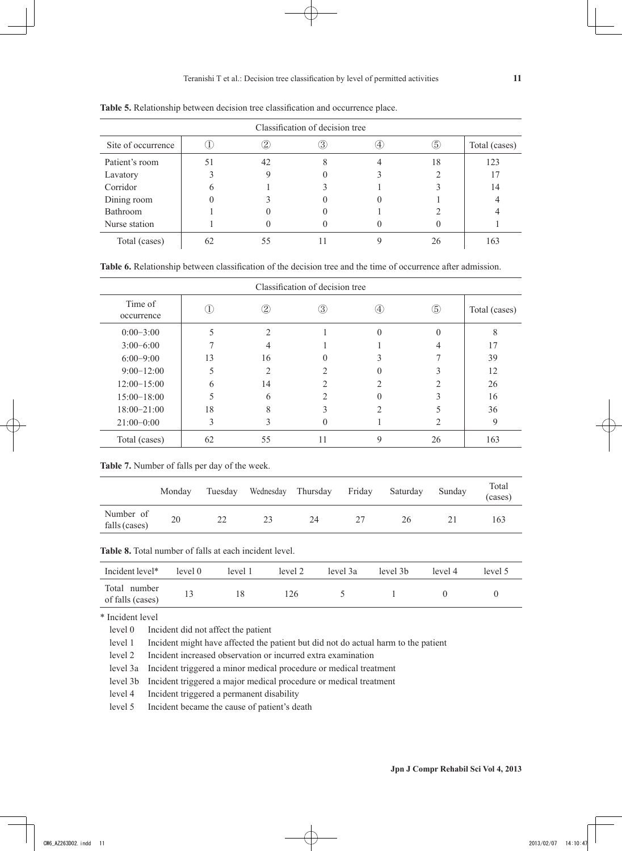| Classification of decision tree |  |    |    |  |    |               |  |  |  |  |
|---------------------------------|--|----|----|--|----|---------------|--|--|--|--|
| Site of occurrence              |  |    | 3) |  | 6  | Total (cases) |  |  |  |  |
| Patient's room                  |  | 42 |    |  | 18 | 123           |  |  |  |  |
| Lavatory                        |  |    |    |  |    | 17            |  |  |  |  |
| Corridor                        |  |    |    |  |    | 14            |  |  |  |  |
| Dining room                     |  |    |    |  |    |               |  |  |  |  |
| Bathroom                        |  |    |    |  |    |               |  |  |  |  |
| Nurse station                   |  |    |    |  |    |               |  |  |  |  |
| Total (cases)                   |  |    |    |  | 26 | 163           |  |  |  |  |

**Table 5.** Relationship between decision tree classification and occurrence place.

| <b>Table 6.</b> Relationship between classification of the decision tree and the time of occurrence after admission. |  |
|----------------------------------------------------------------------------------------------------------------------|--|
|----------------------------------------------------------------------------------------------------------------------|--|

| Classification of decision tree |    |               |     |                   |             |               |  |  |  |  |
|---------------------------------|----|---------------|-----|-------------------|-------------|---------------|--|--|--|--|
| Time of<br>occurrence           |    | $\circled{2}$ | (3) | $\left( 4\right)$ | $\circledS$ | Total (cases) |  |  |  |  |
| $0:00-3:00$                     |    |               |     |                   |             | ⌒             |  |  |  |  |
| $3:00-6:00$                     |    |               |     |                   |             | 17            |  |  |  |  |
| $6:00-9:00$                     | 13 | 16            |     |                   |             | 39            |  |  |  |  |
| $9:00-12:00$                    |    |               |     |                   |             | 12            |  |  |  |  |
| $12:00-15:00$                   |    | 14            |     |                   |             | 26            |  |  |  |  |
| $15:00-18:00$                   |    |               |     |                   |             | 16            |  |  |  |  |
| $18:00 - 21:00$                 | 18 |               |     |                   |             | 36            |  |  |  |  |
| $21:00-0:00$                    |    |               |     |                   |             | 9             |  |  |  |  |
| Total (cases)                   | 62 | 55            |     | 9                 | 26          | 163           |  |  |  |  |

**Table 7.** Number of falls per day of the week.

|                            | Monday | Tuesday | Wednesday Thursday Friday | Saturday | Sunday | Total<br>(cases) |
|----------------------------|--------|---------|---------------------------|----------|--------|------------------|
| Number of<br>falls (cases) | 20     |         | 24                        | 26       |        | 163              |

**Table 8.** Total number of falls at each incident level.

| Incident level*                  | level 0 | level 1 | level 2 | level 3a | level 3b | level 4 | level 5 |
|----------------------------------|---------|---------|---------|----------|----------|---------|---------|
| Total number<br>of falls (cases) |         |         | '26'    |          |          |         |         |

\* Incident level

level 0 Incident did not affect the patient

level 1 Incident might have affected the patient but did not do actual harm to the patient

level 2 Incident increased observation or incurred extra examination

level 3a Incident triggered a minor medical procedure or medical treatment

level 3b Incident triggered a major medical procedure or medical treatment

level 4 Incident triggered a permanent disability

level 5 Incident became the cause of patient's death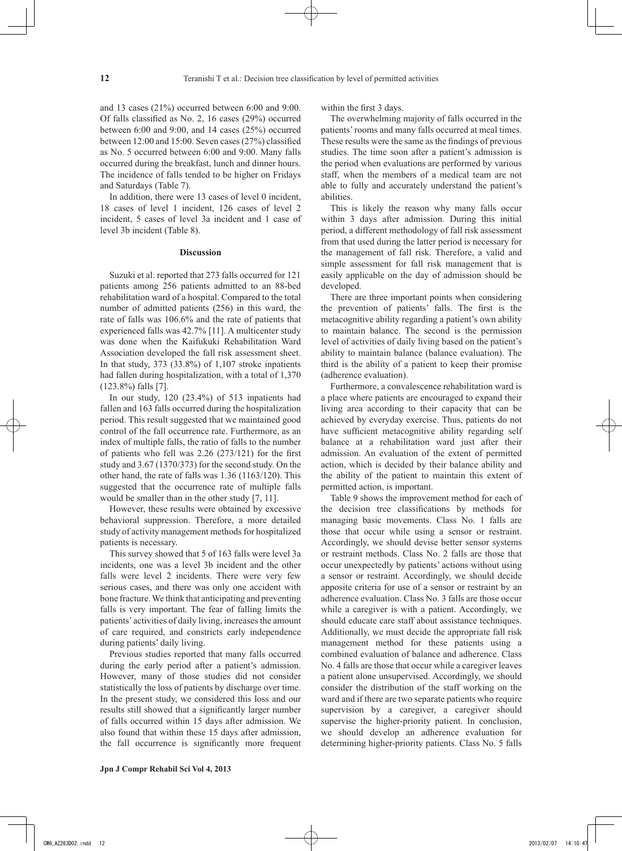and 13 cases (21%) occurred between 6:00 and 9:00. Of falls classified as No. 2, 16 cases (29%) occurred between 6:00 and 9:00, and 14 cases (25%) occurred between 12:00 and 15:00. Seven cases (27%) classified as No. 5 occurred between 6:00 and 9:00. Many falls occurred during the breakfast, lunch and dinner hours. The incidence of falls tended to be higher on Fridays and Saturdays (Table 7).

In addition, there were 13 cases of level 0 incident, 18 cases of level 1 incident, 126 cases of level 2 incident, 5 cases of level 3a incident and 1 case of level 3b incident (Table 8).

### **Discussion**

Suzuki et al. reported that 273 falls occurred for 121 patients among 256 patients admitted to an 88-bed rehabilitation ward of a hospital. Compared to the total number of admitted patients (256) in this ward, the rate of falls was 106.6% and the rate of patients that experienced falls was 42.7% [11]. A multicenter study was done when the Kaifukuki Rehabilitation Ward Association developed the fall risk assessment sheet. In that study, 373 (33.8%) of 1,107 stroke inpatients had fallen during hospitalization, with a total of 1,370 (123.8%) falls [7].

In our study, 120 (23.4%) of 513 inpatients had fallen and 163 falls occurred during the hospitalization period. This result suggested that we maintained good control of the fall occurrence rate. Furthermore, as an index of multiple falls, the ratio of falls to the number of patients who fell was 2.26 (273/121) for the first study and 3.67 (1370/373) for the second study. On the other hand, the rate of falls was 1.36 (1163/120). This suggested that the occurrence rate of multiple falls would be smaller than in the other study [7, 11].

However, these results were obtained by excessive behavioral suppression. Therefore, a more detailed study of activity management methods for hospitalized patients is necessary.

This survey showed that 5 of 163 falls were level 3a incidents, one was a level 3b incident and the other falls were level 2 incidents. There were very few serious cases, and there was only one accident with bone fracture. We think that anticipating and preventing falls is very important. The fear of falling limits the patients' activities of daily living, increases the amount of care required, and constricts early independence during patients' daily living.

Previous studies reported that many falls occurred during the early period after a patient's admission. However, many of those studies did not consider statistically the loss of patients by discharge over time. In the present study, we considered this loss and our results still showed that a significantly larger number of falls occurred within 15 days after admission. We also found that within these 15 days after admission, the fall occurrence is significantly more frequent within the first 3 days.

The overwhelming majority of falls occurred in the patients' rooms and many falls occurred at meal times. These results were the same as the findings of previous studies. The time soon after a patient's admission is the period when evaluations are performed by various staff, when the members of a medical team are not able to fully and accurately understand the patient's abilities.

This is likely the reason why many falls occur within 3 days after admission. During this initial period, a different methodology of fall risk assessment from that used during the latter period is necessary for the management of fall risk. Therefore, a valid and simple assessment for fall risk management that is easily applicable on the day of admission should be developed.

There are three important points when considering the prevention of patients' falls. The first is the metacognitive ability regarding a patient's own ability to maintain balance. The second is the permission level of activities of daily living based on the patient's ability to maintain balance (balance evaluation). The third is the ability of a patient to keep their promise (adherence evaluation).

Furthermore, a convalescence rehabilitation ward is a place where patients are encouraged to expand their living area according to their capacity that can be achieved by everyday exercise. Thus, patients do not have sufficient metacognitive ability regarding self balance at a rehabilitation ward just after their admission. An evaluation of the extent of permitted action, which is decided by their balance ability and the ability of the patient to maintain this extent of permitted action, is important.

Table 9 shows the improvement method for each of the decision tree classifications by methods for managing basic movements. Class No. 1 falls are those that occur while using a sensor or restraint. Accordingly, we should devise better sensor systems or restraint methods. Class No. 2 falls are those that occur unexpectedly by patients' actions without using a sensor or restraint. Accordingly, we should decide apposite criteria for use of a sensor or restraint by an adherence evaluation. Class No. 3 falls are those occur while a caregiver is with a patient. Accordingly, we should educate care staff about assistance techniques. Additionally, we must decide the appropriate fall risk management method for these patients using a combined evaluation of balance and adherence. Class No. 4 falls are those that occur while a caregiver leaves a patient alone unsupervised. Accordingly, we should consider the distribution of the staff working on the ward and if there are two separate patients who require supervision by a caregiver, a caregiver should supervise the higher-priority patient. In conclusion, we should develop an adherence evaluation for determining higher-priority patients. Class No. 5 falls